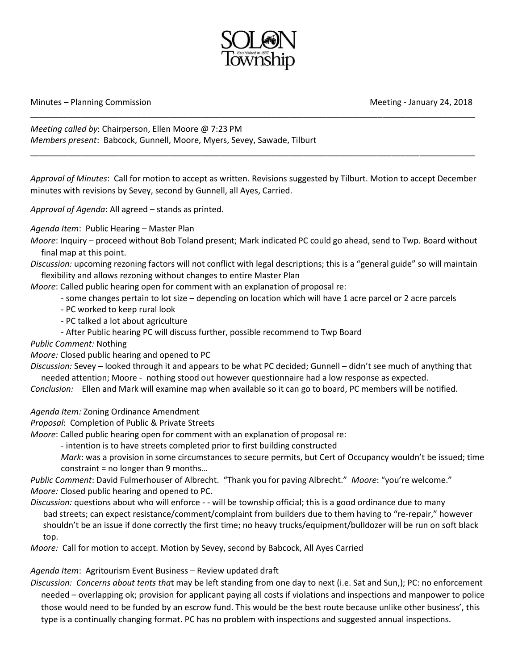

## Minutes – Planning Commission Meeting - January 24, 2018

*Meeting called by*: Chairperson, Ellen Moore @ 7:23 PM *Members present*: Babcock, Gunnell, Moore, Myers, Sevey, Sawade, Tilburt

*Approval of Minutes*: Call for motion to accept as written. Revisions suggested by Tilburt. Motion to accept December minutes with revisions by Sevey, second by Gunnell, all Ayes, Carried.

\_\_\_\_\_\_\_\_\_\_\_\_\_\_\_\_\_\_\_\_\_\_\_\_\_\_\_\_\_\_\_\_\_\_\_\_\_\_\_\_\_\_\_\_\_\_\_\_\_\_\_\_\_\_\_\_\_\_\_\_\_\_\_\_\_\_\_\_\_\_\_\_\_\_\_\_\_\_\_\_\_\_\_\_\_\_\_\_\_\_\_\_\_\_\_\_

\_\_\_\_\_\_\_\_\_\_\_\_\_\_\_\_\_\_\_\_\_\_\_\_\_\_\_\_\_\_\_\_\_\_\_\_\_\_\_\_\_\_\_\_\_\_\_\_\_\_\_\_\_\_\_\_\_\_\_\_\_\_\_\_\_\_\_\_\_\_\_\_\_\_\_\_\_\_\_\_\_\_\_\_\_\_\_\_\_\_\_\_\_\_\_\_

*Approval of Agenda*: All agreed – stands as printed.

*Agenda Item*: Public Hearing – Master Plan

*Moore*: Inquiry – proceed without Bob Toland present; Mark indicated PC could go ahead, send to Twp. Board without final map at this point.

*Discussion:* upcoming rezoning factors will not conflict with legal descriptions; this is a "general guide" so will maintain flexibility and allows rezoning without changes to entire Master Plan

*Moore*: Called public hearing open for comment with an explanation of proposal re:

- some changes pertain to lot size depending on location which will have 1 acre parcel or 2 acre parcels
- PC worked to keep rural look
- PC talked a lot about agriculture
- After Public hearing PC will discuss further, possible recommend to Twp Board
- *Public Comment:* Nothing

*Moore:* Closed public hearing and opened to PC

*Discussion:* Sevey – looked through it and appears to be what PC decided; Gunnell – didn't see much of anything that needed attention; Moore - nothing stood out however questionnaire had a low response as expected.

*Conclusion:* Ellen and Mark will examine map when available so it can go to board, PC members will be notified.

*Agenda Item:* Zoning Ordinance Amendment

*Proposal*: Completion of Public & Private Streets

*Moore*: Called public hearing open for comment with an explanation of proposal re:

- intention is to have streets completed prior to first building constructed

*Mark*: was a provision in some circumstances to secure permits, but Cert of Occupancy wouldn't be issued; time constraint = no longer than 9 months…

*Public Comment*: David Fulmerhouser of Albrecht. "Thank you for paving Albrecht." *Moore*: "you're welcome." *Moore:* Closed public hearing and opened to PC.

*Discussion:* questions about who will enforce - - will be township official; this is a good ordinance due to many bad streets; can expect resistance/comment/complaint from builders due to them having to "re-repair," however shouldn't be an issue if done correctly the first time; no heavy trucks/equipment/bulldozer will be run on soft black top.

*Moore:* Call for motion to accept. Motion by Sevey, second by Babcock, All Ayes Carried

*Agenda Item*: Agritourism Event Business – Review updated draft

*Discussion: Concerns about tents tha*t may be left standing from one day to next (i.e. Sat and Sun,); PC: no enforcement needed – overlapping ok; provision for applicant paying all costs if violations and inspections and manpower to police those would need to be funded by an escrow fund. This would be the best route because unlike other business', this type is a continually changing format. PC has no problem with inspections and suggested annual inspections.